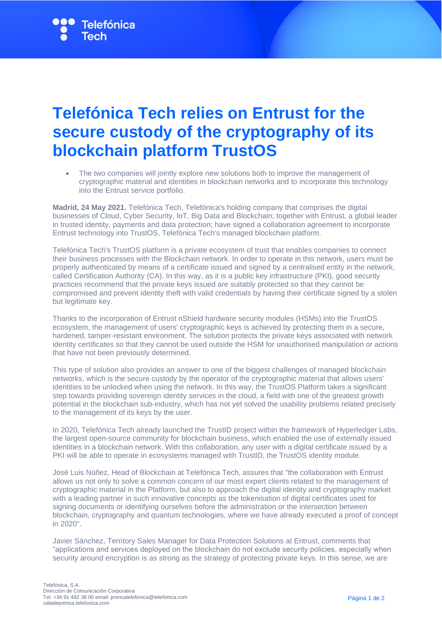## **Telefónica Tech relies on Entrust for the secure custody of the cryptography of its blockchain platform TrustOS**

• The two companies will jointly explore new solutions both to improve the management of cryptographic material and identities in blockchain networks and to incorporate this technology into the Entrust service portfolio.

**Madrid, 24 May 2021.** Telefónica Tech, Telefónica's holding company that comprises the digital businesses of Cloud, Cyber Security, IoT, Big Data and Blockchain; together with Entrust, a global leader in trusted identity, payments and data protection; have signed a collaboration agreement to incorporate Entrust technology into TrustOS, Telefónica Tech's managed blockchain platform.

Telefónica Tech's TrustOS platform is a private ecosystem of trust that enables companies to connect their business processes with the Blockchain network. In order to operate in this network, users must be properly authenticated by means of a certificate issued and signed by a centralised entity in the network, called Certification Authority (CA). In this way, as it is a public key infrastructure (PKI), good security practices recommend that the private keys issued are suitably protected so that they cannot be compromised and prevent identity theft with valid credentials by having their certificate signed by a stolen but legitimate key.

Thanks to the incorporation of Entrust nShield hardware security modules (HSMs) into the TrustOS ecosystem, the management of users' cryptographic keys is achieved by protecting them in a secure, hardened, tamper-resistant environment. The solution protects the private keys associated with network identity certificates so that they cannot be used outside the HSM for unauthorised manipulation or actions that have not been previously determined.

This type of solution also provides an answer to one of the biggest challenges of managed blockchain networks, which is the secure custody by the operator of the cryptographic material that allows users' identities to be unlocked when using the network. In this way, the TrustOS Platform takes a significant step towards providing sovereign identity services in the cloud, a field with one of the greatest growth potential in the blockchain sub-industry, which has not yet solved the usability problems related precisely to the management of its keys by the user.

In 2020, Telefónica Tech already launched the TrustID project within the framework of Hyperledger Labs, the largest open-source community for blockchain business, which enabled the use of externally issued identities in a blockchain network. With this collaboration, any user with a digital certificate issued by a PKI will be able to operate in ecosystems managed with TrustID, the TrustOS identity module.

José Luis Núñez, Head of Blockchain at Telefónica Tech, assures that "the collaboration with Entrust allows us not only to solve a common concern of our most expert clients related to the management of cryptographic material in the Platform, but also to approach the digital identity and cryptography market with a leading partner in such innovative concepts as the tokenisation of digital certificates used for signing documents or identifying ourselves before the administration or the intersection between blockchain, cryptography and quantum technologies, where we have already executed a proof of concept in 2020".

Javier Sánchez, Territory Sales Manager for Data Protection Solutions at Entrust, comments that "applications and services deployed on the blockchain do not exclude security policies, especially when security around encryption is as strong as the strategy of protecting private keys. In this sense, we are